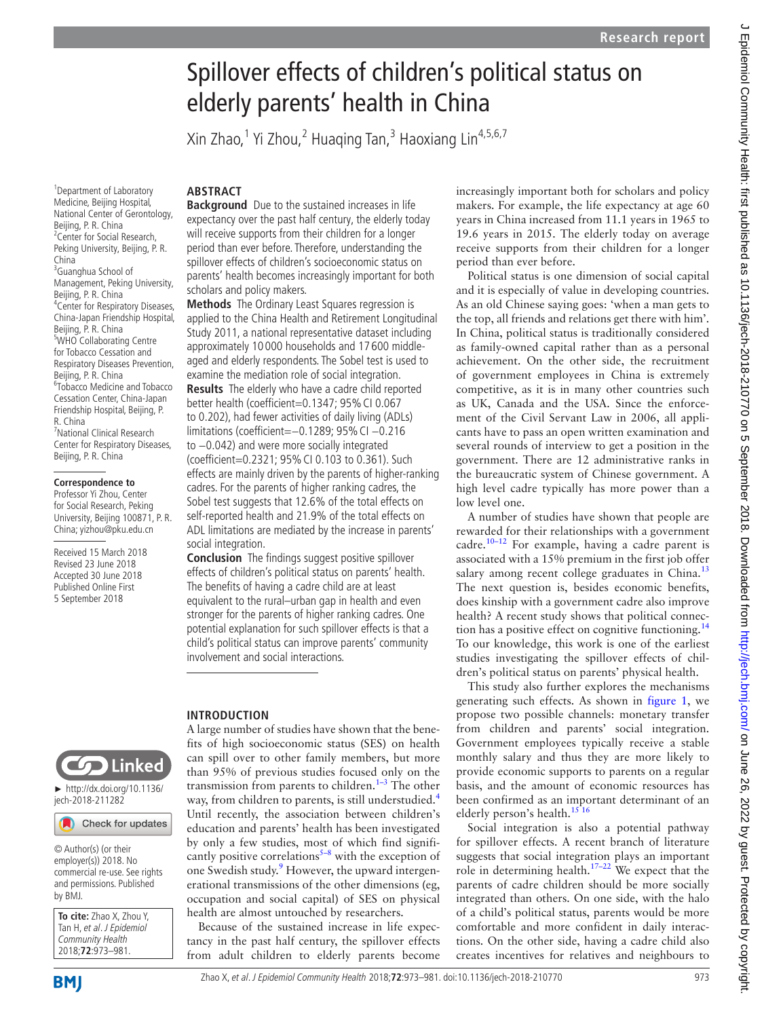# Spillover effects of children's political status on elderly parents' health in China

Xin Zhao,<sup>1</sup> Yi Zhou,<sup>2</sup> Huaqing Tan,<sup>3</sup> Haoxiang Lin<sup>4,5,6,7</sup>

#### <sup>1</sup> Department of Laboratory Medicine, Beijing Hospital, National Center of Gerontology, Beijing, P. R. China <sup>2</sup> Center for Social Research, Peking University, Beijing, P. R. China <sup>3</sup>Guanghua School of Management, Peking University, Beijing, P. R. China 4 Center for Respiratory Diseases, China-Japan Friendship Hospital, Beijing, P. R. China <sup>5</sup>WHO Collaborating Centre for Tobacco Cessation and Respiratory Diseases Prevention, Beijing, P. R. China 6 Tobacco Medicine and Tobacco Cessation Center, China-Japan Friendship Hospital, Beijing, P. R. China 7 National Clinical Research Center for Respiratory Diseases, Beijing, P. R. China

#### **Correspondence to**

Professor Yi Zhou, Center for Social Research, Peking University, Beijing 100871, P.R. China; yizhou@pku.edu.cn

Received 15 March 2018 Revised 23 June 2018 Accepted 30 June 2018 Published Online First 5 September 2018



► http://dx.doi.org/10.1136/ jech-2018-211282

## Check for updates

© Author(s) (or their employer(s)) 2018. No commercial re-use. See rights and permissions. Published by BMJ.

**To cite:** Zhao X, Zhou Y, Tan H, et al. J Epidemiol Community Health 2018;**72**:973–981.

## **ARSTRACT**

**Background** Due to the sustained increases in life expectancy over the past half century, the elderly today will receive supports from their children for a longer period than ever before. Therefore, understanding the spillover effects of children's socioeconomic status on parents' health becomes increasingly important for both scholars and policy makers.

**Methods** The Ordinary Least Squares regression is applied to the China Health and Retirement Longitudinal Study 2011, a national representative dataset including approximately 10 000 households and 17 600 middleaged and elderly respondents. The Sobel test is used to examine the mediation role of social integration.

**Results** The elderly who have a cadre child reported better health (coefficient=0.1347; 95% CI 0.067 to 0.202), had fewer activities of daily living (ADLs) limitations (coefficient=−0.1289; 95%CI −0.216 to −0.042) and were more socially integrated (coefficient=0.2321; 95%CI 0.103 to 0.361). Such effects are mainly driven by the parents of higher-ranking cadres. For the parents of higher ranking cadres, the Sobel test suggests that 12.6% of the total effects on self-reported health and 21.9% of the total effects on ADL limitations are mediated by the increase in parents' social integration.

**Conclusion** The findings suggest positive spillover effects of children's political status on parents' health. The benefits of having a cadre child are at least equivalent to the rural–urban gap in health and even stronger for the parents of higher ranking cadres. One potential explanation for such spillover effects is that a child's political status can improve parents' community involvement and social interactions.

## **Introduction**

A large number of studies have shown that the benefits of high socioeconomic status (SES) on health can spill over to other family members, but more than 95% of previous studies focused only on the transmission from parents to children. $1-3$  The other way, from children to parents, is still understudied.<sup>[4](#page-8-1)</sup> Until recently, the association between children's education and parents' health has been investigated by only a few studies, most of which find significantly positive correlations $5-8$  with the exception of one Swedish study.<sup>9</sup> However, the upward intergenerational transmissions of the other dimensions (eg, occupation and social capital) of SES on physical health are almost untouched by researchers.

Because of the sustained increase in life expectancy in the past half century, the spillover effects from adult children to elderly parents become

increasingly important both for scholars and policy makers. For example, the life expectancy at age 60 years in China increased from 11.1 years in 1965 to 19.6 years in 2015. The elderly today on average receive supports from their children for a longer period than ever before.

Political status is one dimension of social capital and it is especially of value in developing countries. As an old Chinese saying goes: 'when a man gets to the top, all friends and relations get there with him'. In China, political status is traditionally considered as family-owned capital rather than as a personal achievement. On the other side, the recruitment of government employees in China is extremely competitive, as it is in many other countries such as UK, Canada and the USA. Since the enforcement of the Civil Servant Law in 2006, all applicants have to pass an open written examination and several rounds of interview to get a position in the government. There are 12 administrative ranks in the bureaucratic system of Chinese government. A high level cadre typically has more power than a low level one.

A number of studies have shown that people are rewarded for their relationships with a government cadre.<sup>10-12</sup> For example, having a cadre parent is associated with a 15% premium in the first job offer salary among recent college graduates in China. $^{13}$  $^{13}$  $^{13}$ The next question is, besides economic benefits, does kinship with a government cadre also improve health? A recent study shows that political connec-tion has a positive effect on cognitive functioning.<sup>[14](#page-8-6)</sup> To our knowledge, this work is one of the earliest studies investigating the spillover effects of children's political status on parents' physical health.

This study also further explores the mechanisms generating such effects. As shown in [figure](#page-1-0) 1, we propose two possible channels: monetary transfer from children and parents' social integration. Government employees typically receive a stable monthly salary and thus they are more likely to provide economic supports to parents on a regular basis, and the amount of economic resources has been confirmed as an important determinant of an elderly person's health. $1516$ 

Social integration is also a potential pathway for spillover effects. A recent branch of literature suggests that social integration plays an important role in determining health.<sup>17–22</sup> We expect that the parents of cadre children should be more socially integrated than others. On one side, with the halo of a child's political status, parents would be more comfortable and more confident in daily interactions. On the other side, having a cadre child also creates incentives for relatives and neighbours to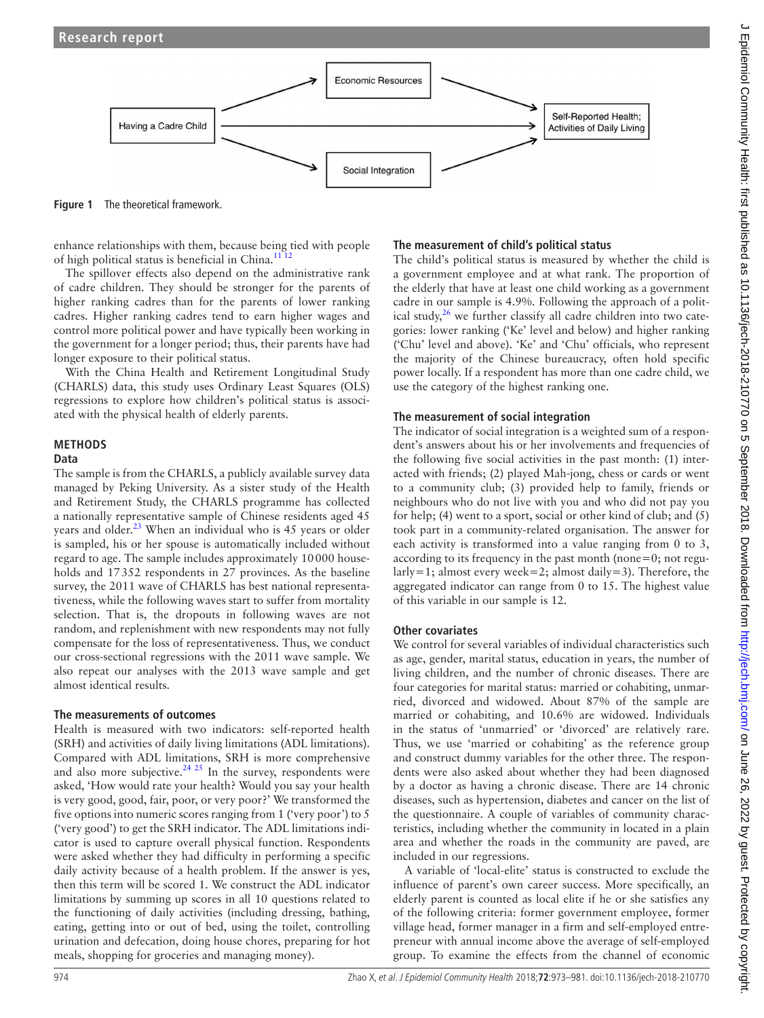

<span id="page-1-0"></span>**Figure 1** The theoretical framework.

enhance relationships with them, because being tied with people of high political status is beneficial in China.<sup>11 12</sup>

The spillover effects also depend on the administrative rank of cadre children. They should be stronger for the parents of higher ranking cadres than for the parents of lower ranking cadres. Higher ranking cadres tend to earn higher wages and control more political power and have typically been working in the government for a longer period; thus, their parents have had longer exposure to their political status.

With the China Health and Retirement Longitudinal Study (CHARLS) data, this study uses Ordinary Least Squares (OLS) regressions to explore how children's political status is associated with the physical health of elderly parents.

## **Methods**

#### **Data**

The sample is from the CHARLS, a publicly available survey data managed by Peking University. As a sister study of the Health and Retirement Study, the CHARLS programme has collected a nationally representative sample of Chinese residents aged 45 years and older.<sup>[23](#page-8-10)</sup> When an individual who is 45 years or older is sampled, his or her spouse is automatically included without regard to age. The sample includes approximately 10000 households and 17352 respondents in 27 provinces. As the baseline survey, the 2011 wave of CHARLS has best national representativeness, while the following waves start to suffer from mortality selection. That is, the dropouts in following waves are not random, and replenishment with new respondents may not fully compensate for the loss of representativeness. Thus, we conduct our cross-sectional regressions with the 2011 wave sample. We also repeat our analyses with the 2013 wave sample and get almost identical results.

#### **The measurements of outcomes**

Health is measured with two indicators: self-reported health (SRH) and activities of daily living limitations (ADL limitations). Compared with ADL limitations, SRH is more comprehensive and also more subjective.<sup>[24 25](#page-8-11)</sup> In the survey, respondents were asked, 'How would rate your health? Would you say your health is very good, good, fair, poor, or very poor?' We transformed the five options into numeric scores ranging from 1 ('very poor') to 5 ('very good') to get the SRH indicator. The ADL limitations indicator is used to capture overall physical function. Respondents were asked whether they had difficulty in performing a specific daily activity because of a health problem. If the answer is yes, then this term will be scored 1. We construct the ADL indicator limitations by summing up scores in all 10 questions related to the functioning of daily activities (including dressing, bathing, eating, getting into or out of bed, using the toilet, controlling urination and defecation, doing house chores, preparing for hot meals, shopping for groceries and managing money).

#### **The measurement of child's political status**

The child's political status is measured by whether the child is a government employee and at what rank. The proportion of the elderly that have at least one child working as a government cadre in our sample is 4.9%. Following the approach of a political study, $26$  we further classify all cadre children into two categories: lower ranking ('Ke' level and below) and higher ranking ('Chu' level and above). 'Ke' and 'Chu' officials, who represent the majority of the Chinese bureaucracy, often hold specific power locally. If a respondent has more than one cadre child, we use the category of the highest ranking one.

#### **The measurement of social integration**

The indicator of social integration is a weighted sum of a respondent's answers about his or her involvements and frequencies of the following five social activities in the past month: (1) interacted with friends; (2) played Mah-jong, chess or cards or went to a community club; (3) provided help to family, friends or neighbours who do not live with you and who did not pay you for help; (4) went to a sport, social or other kind of club; and (5) took part in a community-related organisation. The answer for each activity is transformed into a value ranging from 0 to 3, according to its frequency in the past month (none=0; not regularly=1; almost every week=2; almost daily=3). Therefore, the aggregated indicator can range from 0 to 15. The highest value of this variable in our sample is 12.

#### **Other covariates**

We control for several variables of individual characteristics such as age, gender, marital status, education in years, the number of living children, and the number of chronic diseases. There are four categories for marital status: married or cohabiting, unmarried, divorced and widowed. About 87% of the sample are married or cohabiting, and 10.6% are widowed. Individuals in the status of 'unmarried' or 'divorced' are relatively rare. Thus, we use 'married or cohabiting' as the reference group and construct dummy variables for the other three. The respondents were also asked about whether they had been diagnosed by a doctor as having a chronic disease. There are 14 chronic diseases, such as hypertension, diabetes and cancer on the list of the questionnaire. A couple of variables of community characteristics, including whether the community in located in a plain area and whether the roads in the community are paved, are included in our regressions.

A variable of 'local-elite' status is constructed to exclude the influence of parent's own career success. More specifically, an elderly parent is counted as local elite if he or she satisfies any of the following criteria: former government employee, former village head, former manager in a firm and self-employed entrepreneur with annual income above the average of self-employed group. To examine the effects from the channel of economic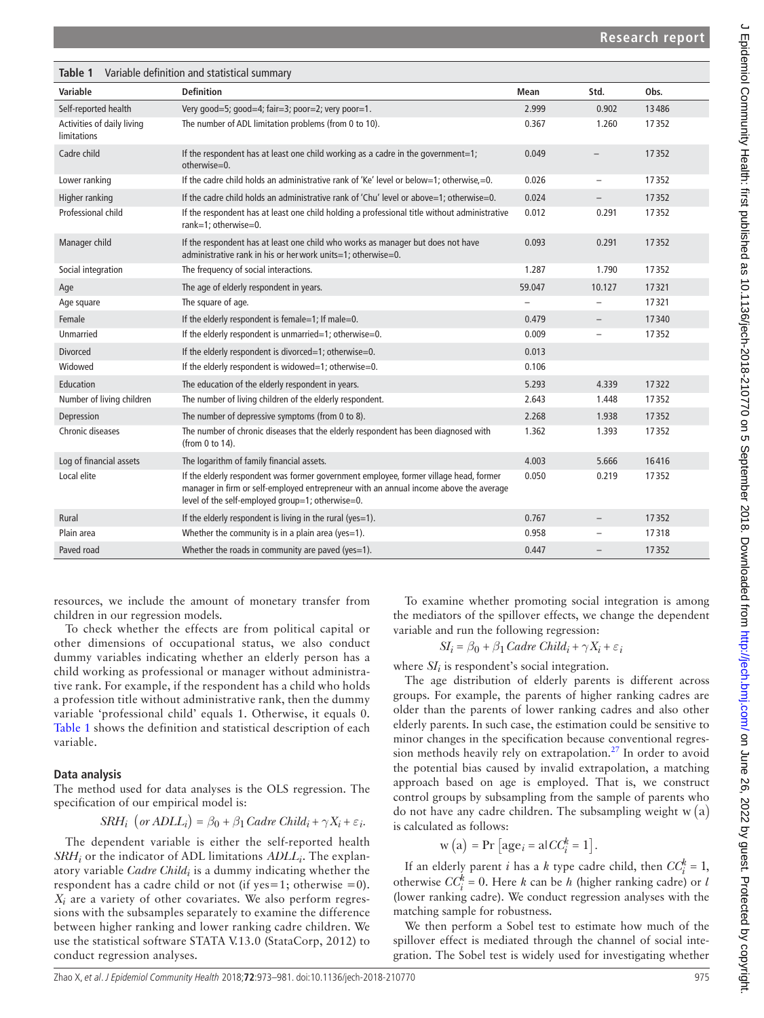<span id="page-2-0"></span>

| Table 1                                   | Variable definition and statistical summary                                                                                                                                                                                        |        |                          |       |
|-------------------------------------------|------------------------------------------------------------------------------------------------------------------------------------------------------------------------------------------------------------------------------------|--------|--------------------------|-------|
| Variable                                  | <b>Definition</b>                                                                                                                                                                                                                  | Mean   | Std.                     | Obs.  |
| Self-reported health                      | Very good=5; good=4; fair=3; poor=2; very poor=1.                                                                                                                                                                                  | 2.999  | 0.902                    | 13486 |
| Activities of daily living<br>limitations | The number of ADL limitation problems (from 0 to 10).                                                                                                                                                                              | 0.367  | 1.260                    | 17352 |
| Cadre child                               | If the respondent has at least one child working as a cadre in the government=1;<br>otherwise=0.                                                                                                                                   | 0.049  |                          | 17352 |
| Lower ranking                             | If the cadre child holds an administrative rank of 'Ke' level or below=1; otherwise.=0.                                                                                                                                            | 0.026  | $\qquad \qquad -$        | 17352 |
| Higher ranking                            | If the cadre child holds an administrative rank of 'Chu' level or above=1; otherwise=0.                                                                                                                                            | 0.024  |                          | 17352 |
| Professional child                        | If the respondent has at least one child holding a professional title without administrative<br>rank=1: otherwise=0.                                                                                                               | 0.012  | 0.291                    | 17352 |
| Manager child                             | If the respondent has at least one child who works as manager but does not have<br>administrative rank in his or her work units=1; otherwise=0.                                                                                    | 0.093  | 0.291                    | 17352 |
| Social integration                        | The frequency of social interactions.                                                                                                                                                                                              | 1.287  | 1.790                    | 17352 |
| Age                                       | The age of elderly respondent in years.                                                                                                                                                                                            | 59.047 | 10.127                   | 17321 |
| Age square                                | The square of age.                                                                                                                                                                                                                 |        |                          | 17321 |
| Female                                    | If the elderly respondent is female=1; If male=0.                                                                                                                                                                                  | 0.479  | $\overline{\phantom{a}}$ | 17340 |
| Unmarried                                 | If the elderly respondent is unmarried=1; otherwise=0.                                                                                                                                                                             | 0.009  |                          | 17352 |
| <b>Divorced</b>                           | If the elderly respondent is divorced=1; otherwise=0.                                                                                                                                                                              | 0.013  |                          |       |
| Widowed                                   | If the elderly respondent is widowed=1; otherwise=0.                                                                                                                                                                               | 0.106  |                          |       |
| Education                                 | The education of the elderly respondent in years.                                                                                                                                                                                  | 5.293  | 4.339                    | 17322 |
| Number of living children                 | The number of living children of the elderly respondent.                                                                                                                                                                           | 2.643  | 1.448                    | 17352 |
| Depression                                | The number of depressive symptoms (from 0 to 8).                                                                                                                                                                                   | 2.268  | 1.938                    | 17352 |
| Chronic diseases                          | The number of chronic diseases that the elderly respondent has been diagnosed with<br>(from 0 to 14).                                                                                                                              | 1.362  | 1.393                    | 17352 |
| Log of financial assets                   | The logarithm of family financial assets.                                                                                                                                                                                          | 4.003  | 5.666                    | 16416 |
| Local elite                               | If the elderly respondent was former government employee, former village head, former<br>manager in firm or self-employed entrepreneur with an annual income above the average<br>level of the self-employed group=1; otherwise=0. | 0.050  | 0.219                    | 17352 |
| Rural                                     | If the elderly respondent is living in the rural (yes=1).                                                                                                                                                                          | 0.767  |                          | 17352 |
| Plain area                                | Whether the community is in a plain area (yes=1).                                                                                                                                                                                  | 0.958  | $\overline{\phantom{0}}$ | 17318 |
| Paved road                                | Whether the roads in community are paved (yes=1).                                                                                                                                                                                  | 0.447  |                          | 17352 |

resources, we include the amount of monetary transfer from children in our regression models.

To check whether the effects are from political capital or other dimensions of occupational status, we also conduct dummy variables indicating whether an elderly person has a child working as professional or manager without administrative rank. For example, if the respondent has a child who holds a profession title without administrative rank, then the dummy variable 'professional child' equals 1. Otherwise, it equals 0. [Table](#page-2-0) 1 shows the definition and statistical description of each variable.

## **Data analysis**

The method used for data analyses is the OLS regression. The specification of our empirical model is:

$$
SRH_i \ (or ADLL_i) = \beta_0 + \beta_1 \text{C} \text{ad} \text{re} \ \text{Child}_i + \gamma X_i + \varepsilon_i.
$$

The dependent variable is either the self-reported health *SRH<sub>i</sub>* or the indicator of ADL limitations *ADLL<sub>i</sub>*. The explanatory variable *Cadre Childi* is a dummy indicating whether the respondent has a cadre child or not (if  $yes=1$ ; otherwise =0). *Xi* are a variety of other covariates. We also perform regressions with the subsamples separately to examine the difference between higher ranking and lower ranking cadre children. We use the statistical software STATA V.13.0 (StataCorp, 2012) to conduct regression analyses.

To examine whether promoting social integration is among the mediators of the spillover effects, we change the dependent variable and run the following regression:

$$
SI_i = \beta_0 + \beta_1 \text{C} \text{ad} \text{re} \text{ Ch} \text{id}_i + \gamma X_i + \varepsilon_i
$$

where  $SI<sub>i</sub>$  is respondent's social integration.

The age distribution of elderly parents is different across groups. For example, the parents of higher ranking cadres are older than the parents of lower ranking cadres and also other elderly parents. In such case, the estimation could be sensitive to minor changes in the specification because conventional regres-sion methods heavily rely on extrapolation.<sup>[27](#page-8-13)</sup> In order to avoid the potential bias caused by invalid extrapolation, a matching approach based on age is employed. That is, we construct control groups by subsampling from the sample of parents who do not have any cadre children. The subsampling weight  $w(a)$ is calculated as follows:

$$
w(a) = Pr [agei = a|CCik = 1].
$$

If an elderly parent *i* has a *k* type cadre child, then  $CC_i^k = 1$ , otherwise  $CC_i^k = 0$ . Here *k* can be *h* (higher ranking cadre) or *l* (lower ranking cadre). We conduct regression analyses with the matching sample for robustness.

We then perform a Sobel test to estimate how much of the spillover effect is mediated through the channel of social integration. The Sobel test is widely used for investigating whether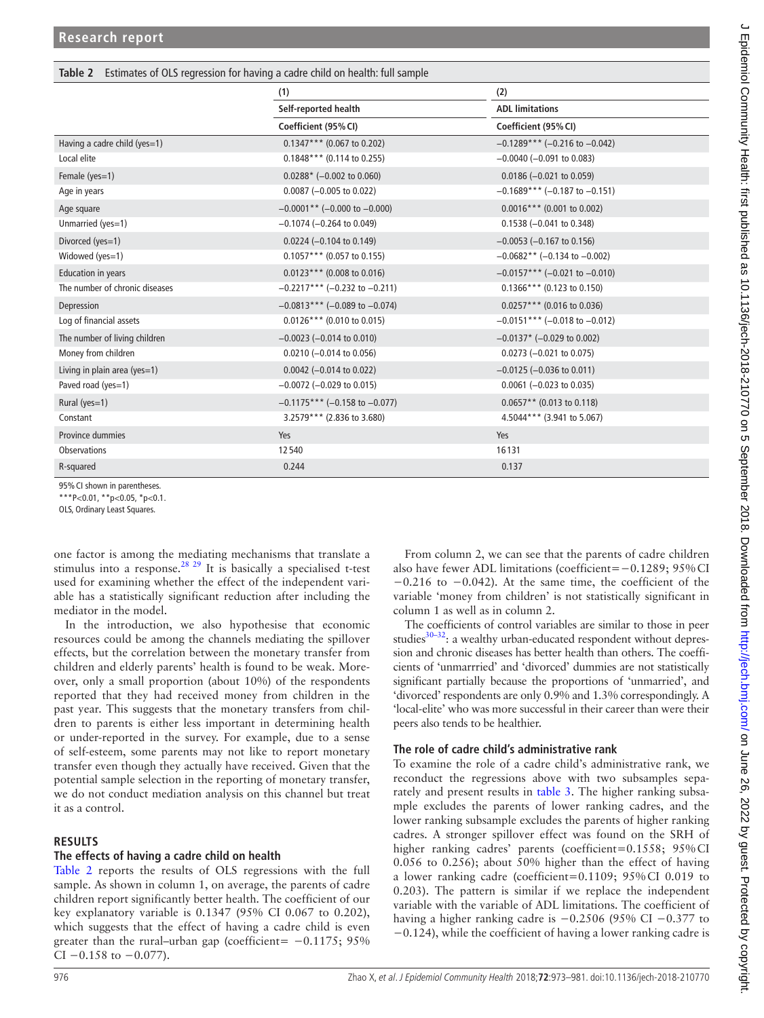<span id="page-3-0"></span>

| Table 2 Estimates of OLS regression for having a cadre child on health: full sample |  |  |  |
|-------------------------------------------------------------------------------------|--|--|--|
|                                                                                     |  |  |  |

|                                | (1)<br>(2)                      |                                 |
|--------------------------------|---------------------------------|---------------------------------|
|                                | Self-reported health            | <b>ADL limitations</b>          |
|                                | Coefficient (95% CI)            | Coefficient (95% CI)            |
| Having a cadre child (yes=1)   | $0.1347***$ (0.067 to 0.202)    | $-0.1289***$ (-0.216 to -0.042) |
| Local elite                    | $0.1848***$ (0.114 to 0.255)    | $-0.0040$ ( $-0.091$ to 0.083)  |
| Female (yes=1)                 | $0.0288*$ (-0.002 to 0.060)     | $0.0186 (-0.021$ to $0.059)$    |
| Age in years                   | $0.0087$ (-0.005 to 0.022)      | $-0.1689***$ (-0.187 to -0.151) |
| Age square                     | $-0.0001**$ (-0.000 to -0.000)  | $0.0016***$ (0.001 to 0.002)    |
| Unmarried (yes=1)              | $-0.1074$ ( $-0.264$ to 0.049)  | $0.1538 (-0.041)$ to $0.348$ )  |
| Divorced (yes=1)               | $0.0224 (-0.104$ to $0.149)$    | $-0.0053$ ( $-0.167$ to 0.156)  |
| Widowed (yes=1)                | $0.1057***$ (0.057 to 0.155)    | $-0.0682**$ (-0.134 to -0.002)  |
| <b>Education in years</b>      | $0.0123***$ (0.008 to 0.016)    | $-0.0157***$ (-0.021 to -0.010) |
| The number of chronic diseases | $-0.2217***$ (-0.232 to -0.211) | $0.1366$ *** (0.123 to 0.150)   |
| Depression                     | $-0.0813***$ (-0.089 to -0.074) | $0.0257***$ (0.016 to 0.036)    |
| Log of financial assets        | $0.0126***$ (0.010 to 0.015)    | $-0.0151***$ (-0.018 to -0.012) |
| The number of living children  | $-0.0023$ ( $-0.014$ to 0.010)  | $-0.0137$ * (-0.029 to 0.002)   |
| Money from children            | $0.0210$ (-0.014 to 0.056)      | $0.0273$ (-0.021 to 0.075)      |
| Living in plain area (yes=1)   | $0.0042$ (-0.014 to 0.022)      | $-0.0125$ ( $-0.036$ to 0.011)  |
| Paved road (yes=1)             | $-0.0072$ ( $-0.029$ to 0.015)  | $0.0061$ (-0.023 to 0.035)      |
| Rural (yes=1)                  | $-0.1175***$ (-0.158 to -0.077) | $0.0657**$ (0.013 to 0.118)     |
| Constant                       | 3.2579*** (2.836 to 3.680)      | 4.5044*** (3.941 to 5.067)      |
| Province dummies               | Yes                             | Yes                             |
| <b>Observations</b>            | 12540                           | 16131                           |
| R-squared                      | 0.244                           | 0.137                           |

95%CI shown in parentheses.

\*\*\*P<0.01, \*\*p<0.05, \*p<0.1.

OLS, Ordinary Least Squares.

one factor is among the mediating mechanisms that translate a stimulus into a response.<sup>28 29</sup> It is basically a specialised t-test used for examining whether the effect of the independent variable has a statistically significant reduction after including the mediator in the model.

In the introduction, we also hypothesise that economic resources could be among the channels mediating the spillover effects, but the correlation between the monetary transfer from children and elderly parents' health is found to be weak. Moreover, only a small proportion (about 10%) of the respondents reported that they had received money from children in the past year. This suggests that the monetary transfers from children to parents is either less important in determining health or under-reported in the survey. For example, due to a sense of self-esteem, some parents may not like to report monetary transfer even though they actually have received. Given that the potential sample selection in the reporting of monetary transfer, we do not conduct mediation analysis on this channel but treat it as a control.

## **Results**

## **The effects of having a cadre child on health**

[Table](#page-3-0) 2 reports the results of OLS regressions with the full sample. As shown in column 1, on average, the parents of cadre children report significantly better health. The coefficient of our key explanatory variable is 0.1347 (95% CI 0.067 to 0.202), which suggests that the effect of having a cadre child is even greater than the rural–urban gap (coefficient=  $-0.1175$ ; 95%  $CI -0.158$  to  $-0.077$ ).

From column 2, we can see that the parents of cadre children also have fewer ADL limitations (coefficient=−0.1289; 95%CI −0.216 to −0.042). At the same time, the coefficient of the variable 'money from children' is not statistically significant in column 1 as well as in column 2.

The coefficients of control variables are similar to those in peer studies $30-32$ : a wealthy urban-educated respondent without depression and chronic diseases has better health than others. The coefficients of 'unmarrried' and 'divorced' dummies are not statistically significant partially because the proportions of 'unmarried', and 'divorced' respondents are only 0.9% and 1.3% correspondingly. A 'local-elite' who was more successful in their career than were their peers also tends to be healthier.

## **The role of cadre child's administrative rank**

To examine the role of a cadre child's administrative rank, we reconduct the regressions above with two subsamples separately and present results in [table](#page-4-0) 3. The higher ranking subsample excludes the parents of lower ranking cadres, and the lower ranking subsample excludes the parents of higher ranking cadres. A stronger spillover effect was found on the SRH of higher ranking cadres' parents (coefficient=0.1558; 95%CI 0.056 to 0.256); about 50% higher than the effect of having a lower ranking cadre (coefficient=0.1109; 95%CI 0.019 to 0.203). The pattern is similar if we replace the independent variable with the variable of ADL limitations. The coefficient of having a higher ranking cadre is −0.2506 (95% CI −0.377 to −0.124), while the coefficient of having a lower ranking cadre is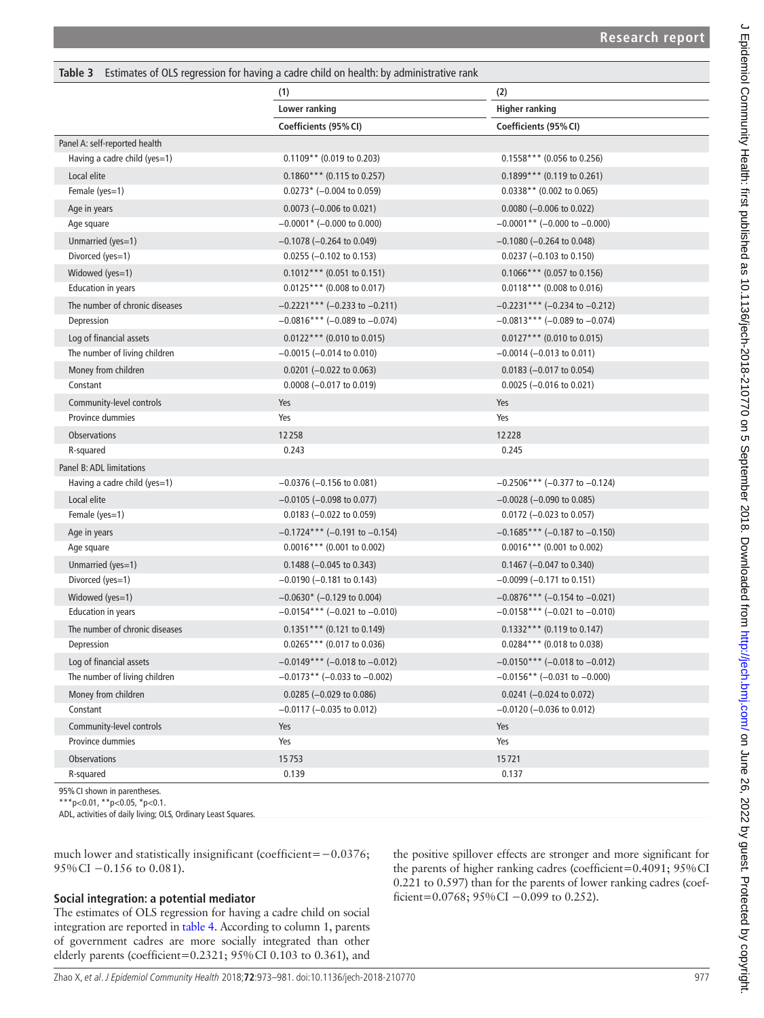<span id="page-4-0"></span>

| Table 3 Estimates of OLS regression for having a cadre child on health: by administrative rank |  |
|------------------------------------------------------------------------------------------------|--|
|------------------------------------------------------------------------------------------------|--|

|                                | (1)                                    | (2)                             |
|--------------------------------|----------------------------------------|---------------------------------|
|                                | Lower ranking<br><b>Higher ranking</b> |                                 |
|                                | Coefficients (95% CI)                  | Coefficients (95% CI)           |
| Panel A: self-reported health  |                                        |                                 |
| Having a cadre child (yes=1)   | $0.1109**$ (0.019 to 0.203)            | $0.1558***$ (0.056 to 0.256)    |
| Local elite                    | $0.1860***$ (0.115 to 0.257)           | $0.1899***$ (0.119 to 0.261)    |
| Female (yes=1)                 | $0.0273*$ (-0.004 to 0.059)            | $0.0338**$ (0.002 to 0.065)     |
| Age in years                   | $0.0073$ (-0.006 to 0.021)             | $0.0080$ (-0.006 to 0.022)      |
| Age square                     | $-0.0001$ * (-0.000 to 0.000)          | $-0.0001**$ (-0.000 to -0.000)  |
| Unmarried (yes=1)              | $-0.1078$ ( $-0.264$ to 0.049)         | $-0.1080$ ( $-0.264$ to 0.048)  |
| Divorced (yes=1)               | $0.0255$ (-0.102 to 0.153)             | $0.0237 (-0.103$ to $0.150)$    |
| Widowed (yes=1)                | $0.1012***$ (0.051 to 0.151)           | $0.1066***$ (0.057 to 0.156)    |
| Education in years             | $0.0125***$ (0.008 to 0.017)           | $0.0118***$ (0.008 to 0.016)    |
| The number of chronic diseases | $-0.2221***$ (-0.233 to -0.211)        | $-0.2231***$ (-0.234 to -0.212) |
| Depression                     | $-0.0816***$ (-0.089 to -0.074)        | $-0.0813***$ (-0.089 to -0.074) |
| Log of financial assets        | $0.0122***$ (0.010 to 0.015)           | $0.0127***$ (0.010 to 0.015)    |
| The number of living children  | $-0.0015$ ( $-0.014$ to 0.010)         | $-0.0014$ ( $-0.013$ to 0.011)  |
| Money from children            | $0.0201$ (-0.022 to 0.063)             | $0.0183$ (-0.017 to 0.054)      |
| Constant                       | $0.0008 (-0.017$ to $0.019)$           | $0.0025$ (-0.016 to 0.021)      |
| Community-level controls       | Yes                                    | Yes                             |
| Province dummies               | Yes                                    | Yes                             |
| <b>Observations</b>            | 12258                                  | 12228                           |
| R-squared                      | 0.243                                  | 0.245                           |
| Panel B: ADL limitations       |                                        |                                 |
| Having a cadre child (yes=1)   | $-0.0376$ ( $-0.156$ to 0.081)         | $-0.2506***$ (-0.377 to -0.124) |
| Local elite                    | $-0.0105$ ( $-0.098$ to 0.077)         | $-0.0028$ ( $-0.090$ to 0.085)  |
| Female (yes=1)                 | $0.0183$ (-0.022 to 0.059)             | $0.0172$ (-0.023 to 0.057)      |
| Age in years                   | $-0.1724***$ (-0.191 to -0.154)        | $-0.1685***$ (-0.187 to -0.150) |
| Age square                     | $0.0016***$ (0.001 to 0.002)           | $0.0016***$ (0.001 to 0.002)    |
| Unmarried (yes=1)              | $0.1488$ (-0.045 to 0.343)             | $0.1467$ (-0.047 to 0.340)      |
| Divorced (yes=1)               | $-0.0190$ ( $-0.181$ to 0.143)         | $-0.0099$ ( $-0.171$ to 0.151)  |
| Widowed (yes=1)                | $-0.0630*$ (-0.129 to 0.004)           | $-0.0876***$ (-0.154 to -0.021) |
| Education in years             | $-0.0154***$ (-0.021 to -0.010)        | $-0.0158***$ (-0.021 to -0.010) |
| The number of chronic diseases | $0.1351***$ (0.121 to 0.149)           | $0.1332***$ (0.119 to 0.147)    |
| Depression                     | 0.0265*** (0.017 to 0.036)             | $0.0284***$ (0.018 to 0.038)    |
| Log of financial assets        | $-0.0149***$ (-0.018 to -0.012)        | $-0.0150***$ (-0.018 to -0.012) |
| The number of living children  | $-0.0173**$ (-0.033 to -0.002)         | $-0.0156**$ (-0.031 to -0.000)  |
| Money from children            | $0.0285 (-0.029 \text{ to } 0.086)$    | $0.0241$ (-0.024 to 0.072)      |
| Constant                       | $-0.0117$ ( $-0.035$ to 0.012)         | $-0.0120$ ( $-0.036$ to 0.012)  |
| Community-level controls       | Yes                                    | Yes                             |
| Province dummies               | Yes                                    | Yes                             |
| Observations                   | 15753                                  | 15721                           |
| R-squared                      | 0.139                                  | 0.137                           |

95%CI shown in parentheses.

\*\*\*p<0.01, \*\*p<0.05, \*p<0.1.

ADL, activities of daily living; OLS, Ordinary Least Squares.

much lower and statistically insignificant (coefficient=−0.0376; 95%CI −0.156 to 0.081).

#### **Social integration: a potential mediator**

The estimates of OLS regression for having a cadre child on social integration are reported in [table](#page-5-0) 4. According to column 1, parents of government cadres are more socially integrated than other elderly parents (coefficient=0.2321; 95%CI 0.103 to 0.361), and the positive spillover effects are stronger and more significant for the parents of higher ranking cadres (coefficient=0.4091; 95%CI 0.221 to 0.597) than for the parents of lower ranking cadres (coefficient=0.0768; 95%CI −0.099 to 0.252).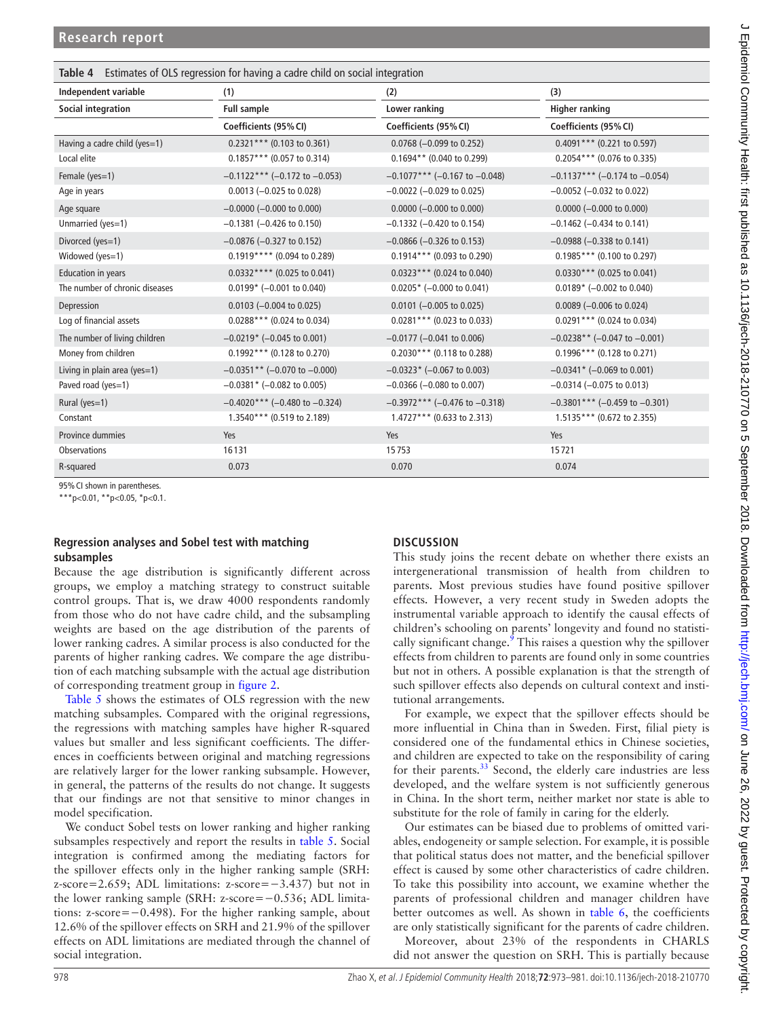<span id="page-5-0"></span>

| <b>Table 4</b> Estimates of OLS regression for having a cadre child on social integration |                                    |                                  |                                     |  |  |  |  |
|-------------------------------------------------------------------------------------------|------------------------------------|----------------------------------|-------------------------------------|--|--|--|--|
| Independent variable                                                                      | (1)                                | (2)                              | (3)                                 |  |  |  |  |
| <b>Social integration</b>                                                                 | <b>Full sample</b>                 | Lower ranking                    | <b>Higher ranking</b>               |  |  |  |  |
|                                                                                           | Coefficients (95% CI)              | Coefficients (95% CI)            | Coefficients (95% CI)               |  |  |  |  |
| Having a cadre child (yes=1)                                                              | $0.2321***$ (0.103 to 0.361)       | $0.0768$ (-0.099 to 0.252)       | $0.4091***$ (0.221 to 0.597)        |  |  |  |  |
| Local elite                                                                               | $0.1857***$ (0.057 to 0.314)       | $0.1694**$ (0.040 to 0.299)      | $0.2054***$ (0.076 to 0.335)        |  |  |  |  |
| Female (yes=1)                                                                            | $-0.1122***$ (-0.172 to $-0.053$ ) | $-0.1077***$ (-0.167 to -0.048)  | $-0.1137***$ (-0.174 to -0.054)     |  |  |  |  |
| Age in years                                                                              | $0.0013 (-0.025$ to $0.028)$       | $-0.0022$ ( $-0.029$ to 0.025)   | $-0.0052$ ( $-0.032$ to 0.022)      |  |  |  |  |
| Age square                                                                                | $-0.0000$ ( $-0.000$ to 0.000)     | $0.0000 (-0.000 to 0.000)$       | $0.0000 (-0.000 \text{ to } 0.000)$ |  |  |  |  |
| Unmarried (yes=1)                                                                         | $-0.1381$ ( $-0.426$ to 0.150)     | $-0.1332$ ( $-0.420$ to 0.154)   | $-0.1462$ ( $-0.434$ to 0.141)      |  |  |  |  |
| Divorced (yes=1)                                                                          | $-0.0876$ ( $-0.327$ to 0.152)     | $-0.0866$ ( $-0.326$ to 0.153)   | $-0.0988$ ( $-0.338$ to 0.141)      |  |  |  |  |
| Widowed (yes=1)                                                                           | $0.1919***$ (0.094 to 0.289)       | $0.1914***$ (0.093 to 0.290)     | $0.1985***$ (0.100 to 0.297)        |  |  |  |  |
| <b>Education in years</b>                                                                 | $0.0332***$ (0.025 to 0.041)       | $0.0323***$ (0.024 to 0.040)     | $0.0330***$ (0.025 to 0.041)        |  |  |  |  |
| The number of chronic diseases                                                            | $0.0199*$ (-0.001 to 0.040)        | $0.0205*$ (-0.000 to 0.041)      | $0.0189*$ (-0.002 to 0.040)         |  |  |  |  |
| Depression                                                                                | $0.0103$ (-0.004 to 0.025)         | $0.0101$ (-0.005 to 0.025)       | $0.0089$ (-0.006 to 0.024)          |  |  |  |  |
| Log of financial assets                                                                   | $0.0288***$ (0.024 to 0.034)       | $0.0281***$ (0.023 to 0.033)     | $0.0291***$ (0.024 to 0.034)        |  |  |  |  |
| The number of living children                                                             | $-0.0219*$ (-0.045 to 0.001)       | $-0.0177$ ( $-0.041$ to 0.006)   | $-0.0238**$ (-0.047 to -0.001)      |  |  |  |  |
| Money from children                                                                       | $0.1992$ *** (0.128 to 0.270)      | $0.2030***$ (0.118 to 0.288)     | $0.1996***$ (0.128 to 0.271)        |  |  |  |  |
| Living in plain area (yes=1)                                                              | $-0.0351**$ (-0.070 to -0.000)     | $-0.0323*$ (-0.067 to 0.003)     | $-0.0341$ * (-0.069 to 0.001)       |  |  |  |  |
| Paved road (yes=1)                                                                        | $-0.0381$ * ( $-0.082$ to 0.005)   | $-0.0366$ ( $-0.080$ to 0.007)   | $-0.0314$ ( $-0.075$ to 0.013)      |  |  |  |  |
| Rural (yes=1)                                                                             | $-0.4020$ *** (-0.480 to -0.324)   | $-0.3972$ *** (-0.476 to -0.318) | $-0.3801$ *** (-0.459 to -0.301)    |  |  |  |  |
| Constant                                                                                  | 1.3540*** (0.519 to 2.189)         | 1.4727*** (0.633 to 2.313)       | 1.5135*** (0.672 to 2.355)          |  |  |  |  |
| Province dummies                                                                          | Yes                                | Yes                              | Yes                                 |  |  |  |  |
| Observations                                                                              | 16131                              | 15753                            | 15721                               |  |  |  |  |
| R-squared                                                                                 | 0.073                              | 0.070                            | 0.074                               |  |  |  |  |

95%CI shown in parentheses.

\*\*\*p<0.01, \*\*p<0.05, \*p<0.1.

#### **Regression analyses and Sobel test with matching subsamples**

Because the age distribution is significantly different across groups, we employ a matching strategy to construct suitable control groups. That is, we draw 4000 respondents randomly from those who do not have cadre child, and the subsampling weights are based on the age distribution of the parents of lower ranking cadres. A similar process is also conducted for the parents of higher ranking cadres. We compare the age distribution of each matching subsample with the actual age distribution of corresponding treatment group in [figure](#page-6-0) 2.

[Table](#page-6-1) 5 shows the estimates of OLS regression with the new matching subsamples. Compared with the original regressions, the regressions with matching samples have higher R-squared values but smaller and less significant coefficients. The differences in coefficients between original and matching regressions are relatively larger for the lower ranking subsample. However, in general, the patterns of the results do not change. It suggests that our findings are not that sensitive to minor changes in model specification.

We conduct Sobel tests on lower ranking and higher ranking subsamples respectively and report the results in [table](#page-6-1) 5. Social integration is confirmed among the mediating factors for the spillover effects only in the higher ranking sample (SRH: z-score=2.659; ADL limitations: z-score=−3.437) but not in the lower ranking sample (SRH: z-score=−0.536; ADL limitations: z-score=−0.498). For the higher ranking sample, about 12.6% of the spillover effects on SRH and 21.9% of the spillover effects on ADL limitations are mediated through the channel of social integration.

## **Discussion**

This study joins the recent debate on whether there exists an intergenerational transmission of health from children to parents. Most previous studies have found positive spillover effects. However, a very recent study in Sweden adopts the instrumental variable approach to identify the causal effects of children's schooling on parents' longevity and found no statistically significant change. $\frac{9}{9}$  $\frac{9}{9}$  $\frac{9}{9}$  This raises a question why the spillover effects from children to parents are found only in some countries but not in others. A possible explanation is that the strength of such spillover effects also depends on cultural context and institutional arrangements.

For example, we expect that the spillover effects should be more influential in China than in Sweden. First, filial piety is considered one of the fundamental ethics in Chinese societies, and children are expected to take on the responsibility of caring for their parents. $33$  Second, the elderly care industries are less developed, and the welfare system is not sufficiently generous in China. In the short term, neither market nor state is able to substitute for the role of family in caring for the elderly.

Our estimates can be biased due to problems of omitted variables, endogeneity or sample selection. For example, it is possible that political status does not matter, and the beneficial spillover effect is caused by some other characteristics of cadre children. To take this possibility into account, we examine whether the parents of professional children and manager children have better outcomes as well. As shown in [table](#page-7-0) 6, the coefficients are only statistically significant for the parents of cadre children.

Moreover, about 23% of the respondents in CHARLS did not answer the question on SRH. This is partially because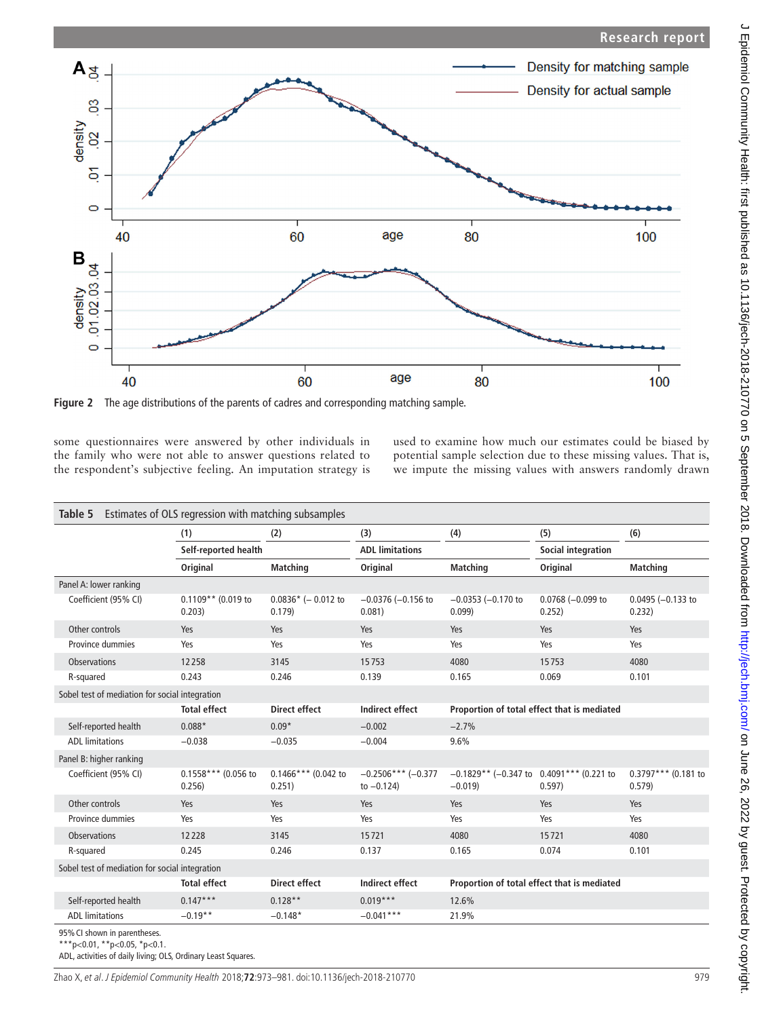

<span id="page-6-0"></span>some questionnaires were answered by other individuals in the family who were not able to answer questions related to the respondent's subjective feeling. An imputation strategy is used to examine how much our estimates could be biased by potential sample selection due to these missing values. That is, we impute the missing values with answers randomly drawn

<span id="page-6-1"></span>

|                                                | (1)                             | (2)                             | (3)                                   | (4)                                                    | (5)                                         | (6)                           |
|------------------------------------------------|---------------------------------|---------------------------------|---------------------------------------|--------------------------------------------------------|---------------------------------------------|-------------------------------|
|                                                | Self-reported health            |                                 | <b>ADL</b> limitations                |                                                        | <b>Social integration</b>                   |                               |
|                                                | Original                        | <b>Matching</b>                 | Original                              | <b>Matching</b>                                        | Original                                    | <b>Matching</b>               |
| Panel A: lower ranking                         |                                 |                                 |                                       |                                                        |                                             |                               |
| Coefficient (95% CI)                           | $0.1109**$ (0.019 to<br>0.203)  | $0.0836*$ (- 0.012 to<br>0.179  | $-0.0376$ ( $-0.156$ to<br>0.081)     | $-0.0353$ $(-0.170$ to<br>0.099                        | $0.0768 (-0.099$ to<br>0.252)               | $0.0495 (-0.133$ to<br>0.232) |
| Other controls                                 | Yes                             | Yes                             | Yes                                   | Yes                                                    | Yes                                         | Yes                           |
| Province dummies                               | Yes                             | Yes                             | Yes                                   | Yes                                                    | Yes                                         | Yes                           |
| <b>Observations</b>                            | 12258                           | 3145                            | 15753                                 | 4080                                                   | 15753                                       | 4080                          |
| R-squared                                      | 0.243                           | 0.246                           | 0.139                                 | 0.165                                                  | 0.069                                       | 0.101                         |
| Sobel test of mediation for social integration |                                 |                                 |                                       |                                                        |                                             |                               |
|                                                | <b>Total effect</b>             | <b>Direct effect</b>            | <b>Indirect effect</b>                |                                                        | Proportion of total effect that is mediated |                               |
| Self-reported health                           | $0.088*$                        | $0.09*$                         | $-0.002$                              | $-2.7%$                                                |                                             |                               |
| <b>ADL</b> limitations                         | $-0.038$                        | $-0.035$                        | $-0.004$                              | 9.6%                                                   |                                             |                               |
| Panel B: higher ranking                        |                                 |                                 |                                       |                                                        |                                             |                               |
| Coefficient (95% CI)                           | $0.1558***$ (0.056 to<br>0.256) | $0.1466***$ (0.042 to<br>0.251) | $-0.2506***(-0.377)$<br>to $-0.124$ ) | $-0.1829**$ (-0.347 to 0.4091*** (0.221 to<br>$-0.019$ | 0.597)                                      | 0.3797*** (0.181 to<br>0.579) |
| Other controls                                 | Yes                             | Yes                             | Yes                                   | Yes                                                    | Yes                                         | Yes                           |
| Province dummies                               | Yes                             | Yes                             | Yes                                   | Yes                                                    | Yes                                         | Yes                           |
| <b>Observations</b>                            | 12228                           | 3145                            | 15721                                 | 4080                                                   | 15721                                       | 4080                          |
| R-squared                                      | 0.245                           | 0.246                           | 0.137                                 | 0.165                                                  | 0.074                                       | 0.101                         |
| Sobel test of mediation for social integration |                                 |                                 |                                       |                                                        |                                             |                               |
|                                                | <b>Total effect</b>             | <b>Direct effect</b>            | <b>Indirect effect</b>                |                                                        | Proportion of total effect that is mediated |                               |
| Self-reported health                           | $0.147***$                      | $0.128**$                       | $0.019***$                            | 12.6%                                                  |                                             |                               |
| <b>ADL</b> limitations                         | $-0.19**$                       | $-0.148*$                       | $-0.041***$                           | 21.9%                                                  |                                             |                               |

ADL, activities of daily living; OLS, Ordinary Least Squares.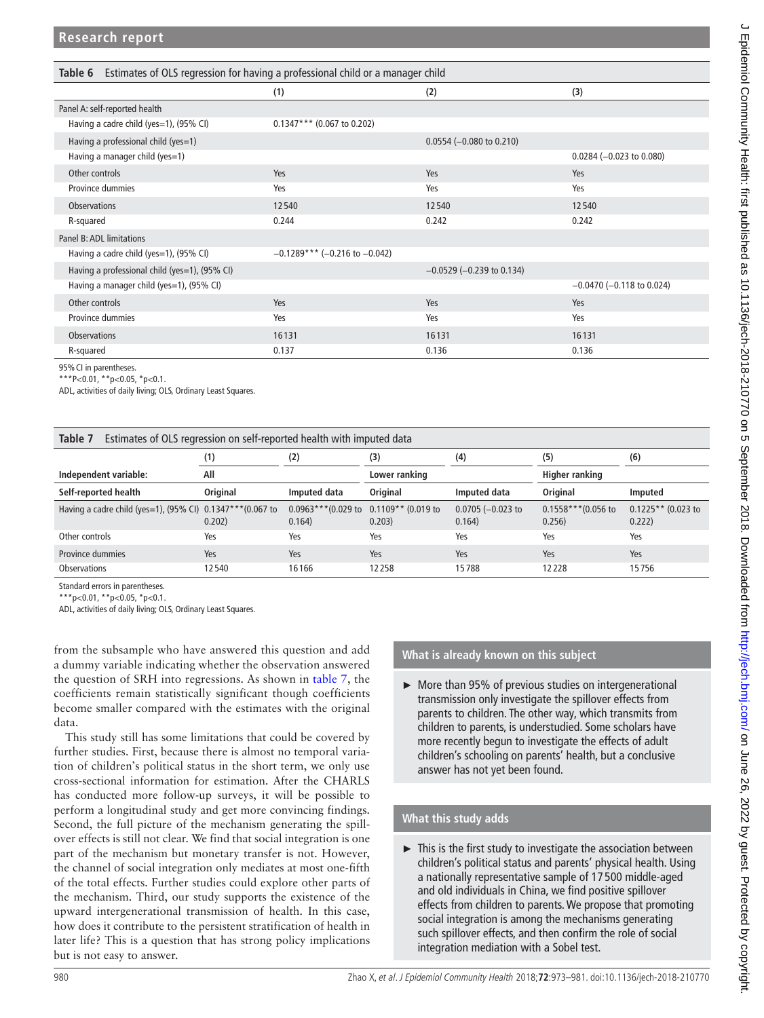<span id="page-7-0"></span>

| Estimates of OLS regression for having a professional child or a manager child<br>Table 6 |                                 |                                |                                |  |  |  |  |
|-------------------------------------------------------------------------------------------|---------------------------------|--------------------------------|--------------------------------|--|--|--|--|
|                                                                                           | (1)                             | (2)                            | (3)                            |  |  |  |  |
| Panel A: self-reported health                                                             |                                 |                                |                                |  |  |  |  |
| Having a cadre child (yes=1), (95% CI)                                                    | $0.1347***$ (0.067 to 0.202)    |                                |                                |  |  |  |  |
| Having a professional child (yes=1)                                                       |                                 | $0.0554$ (-0.080 to 0.210)     |                                |  |  |  |  |
| Having a manager child (yes=1)                                                            |                                 |                                | $0.0284 (-0.023$ to $0.080)$   |  |  |  |  |
| Other controls                                                                            | Yes                             | Yes                            | Yes                            |  |  |  |  |
| Province dummies                                                                          | Yes                             | Yes                            | Yes                            |  |  |  |  |
| <b>Observations</b>                                                                       | 12540                           | 12540                          | 12540                          |  |  |  |  |
| R-squared                                                                                 | 0.244                           | 0.242                          | 0.242                          |  |  |  |  |
| Panel B: ADL limitations                                                                  |                                 |                                |                                |  |  |  |  |
| Having a cadre child (yes=1), (95% CI)                                                    | $-0.1289***$ (-0.216 to -0.042) |                                |                                |  |  |  |  |
| Having a professional child (yes=1), (95% CI)                                             |                                 | $-0.0529$ ( $-0.239$ to 0.134) |                                |  |  |  |  |
| Having a manager child (yes=1), (95% CI)                                                  |                                 |                                | $-0.0470$ ( $-0.118$ to 0.024) |  |  |  |  |
| Other controls                                                                            | Yes                             | Yes                            | Yes                            |  |  |  |  |
| Province dummies                                                                          | Yes                             | Yes                            | Yes                            |  |  |  |  |
| <b>Observations</b>                                                                       | 16131                           | 16131                          | 16131                          |  |  |  |  |
| R-squared                                                                                 | 0.137                           | 0.136                          | 0.136                          |  |  |  |  |

95%CI in parentheses.

\*\*\*P<0.01, \*\*p<0.05, \*p<0.1.

ADL, activities of daily living; OLS, Ordinary Least Squares.

<span id="page-7-1"></span>

| Table 7<br>Estimates of OLS regression on self-reported health with imputed data |          |                                                    |               |                            |                                |                                |  |
|----------------------------------------------------------------------------------|----------|----------------------------------------------------|---------------|----------------------------|--------------------------------|--------------------------------|--|
|                                                                                  | (1)      | (2)                                                | (3)           | (4)                        | (5)                            | (6)                            |  |
| Independent variable:                                                            | All      |                                                    | Lower ranking |                            | Higher ranking                 |                                |  |
| Self-reported health                                                             | Original | Imputed data                                       | Original      | Imputed data               | Original                       | Imputed                        |  |
| Having a cadre child (yes=1), (95% CI) $0.1347***$ (0.067 to                     | 0.202)   | $0.0963***$ (0.029 to 0.1109** (0.019 to<br>0.164) | 0.203)        | $0.0705 (-0.023)$<br>0.164 | $0.1558***$ (0.056 to<br>0.256 | $0.1225**$ (0.023 to<br>0.222) |  |
| Other controls                                                                   | Yes      | Yes                                                | Yes           | Yes                        | Yes                            | Yes                            |  |
| Province dummies                                                                 | Yes      | Yes                                                | Yes           | Yes                        | Yes                            | Yes                            |  |
| <b>Observations</b>                                                              | 12540    | 16166                                              | 12258         | 15788                      | 12228                          | 15756                          |  |

Standard errors in parentheses.

\*\*\*p<0.01, \*\*p<0.05, \*p<0.1.

ADL, activities of daily living; OLS, Ordinary Least Squares.

from the subsample who have answered this question and add a dummy variable indicating whether the observation answered the question of SRH into regressions. As shown in [table](#page-7-1) 7, the coefficients remain statistically significant though coefficients become smaller compared with the estimates with the original data.

This study still has some limitations that could be covered by further studies. First, because there is almost no temporal variation of children's political status in the short term, we only use cross-sectional information for estimation. After the CHARLS has conducted more follow-up surveys, it will be possible to perform a longitudinal study and get more convincing findings. Second, the full picture of the mechanism generating the spillover effects is still not clear. We find that social integration is one part of the mechanism but monetary transfer is not. However, the channel of social integration only mediates at most one-fifth of the total effects. Further studies could explore other parts of the mechanism. Third, our study supports the existence of the upward intergenerational transmission of health. In this case, how does it contribute to the persistent stratification of health in later life? This is a question that has strong policy implications but is not easy to answer.

## **What is already known on this subject**

► More than 95% of previous studies on intergenerational transmission only investigate the spillover effects from parents to children. The other way, which transmits from children to parents, is understudied. Some scholars have more recently begun to investigate the effects of adult children's schooling on parents' health, but a conclusive answer has not yet been found.

## **What this study adds**

► This is the first study to investigate the association between children's political status and parents' physical health. Using a nationally representative sample of 17 500 middle-aged and old individuals in China, we find positive spillover effects from children to parents. We propose that promoting social integration is among the mechanisms generating such spillover effects, and then confirm the role of social integration mediation with a Sobel test.